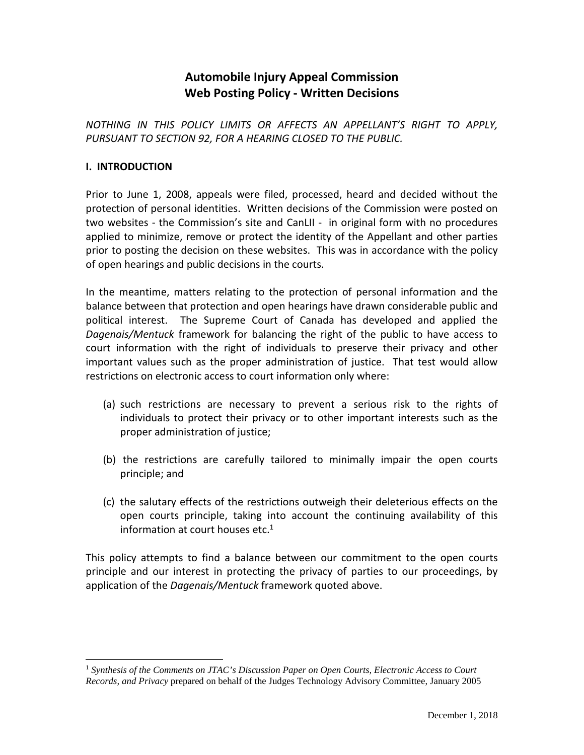## **Automobile Injury Appeal Commission Web Posting Policy - Written Decisions**

*NOTHING IN THIS POLICY LIMITS OR AFFECTS AN APPELLANT'S RIGHT TO APPLY, PURSUANT TO SECTION 92, FOR A HEARING CLOSED TO THE PUBLIC.*

## **I. INTRODUCTION**

Prior to June 1, 2008, appeals were filed, processed, heard and decided without the protection of personal identities. Written decisions of the Commission were posted on two websites - the Commission's site and CanLII - in original form with no procedures applied to minimize, remove or protect the identity of the Appellant and other parties prior to posting the decision on these websites. This was in accordance with the policy of open hearings and public decisions in the courts.

In the meantime, matters relating to the protection of personal information and the balance between that protection and open hearings have drawn considerable public and political interest. The Supreme Court of Canada has developed and applied the *Dagenais/Mentuck* framework for balancing the right of the public to have access to court information with the right of individuals to preserve their privacy and other important values such as the proper administration of justice. That test would allow restrictions on electronic access to court information only where:

- (a) such restrictions are necessary to prevent a serious risk to the rights of individuals to protect their privacy or to other important interests such as the proper administration of justice;
- (b) the restrictions are carefully tailored to minimally impair the open courts principle; and
- (c) the salutary effects of the restrictions outweigh their deleterious effects on the open courts principle, taking into account the continuing availability of this information at court houses etc. $1$

This policy attempts to find a balance between our commitment to the open courts principle and our interest in protecting the privacy of parties to our proceedings, by application of the *Dagenais/Mentuck* framework quoted above.

 $\overline{a}$ <sup>1</sup> *Synthesis of the Comments on JTAC's Discussion Paper on Open Courts, Electronic Access to Court Records, and Privacy* prepared on behalf of the Judges Technology Advisory Committee, January 2005